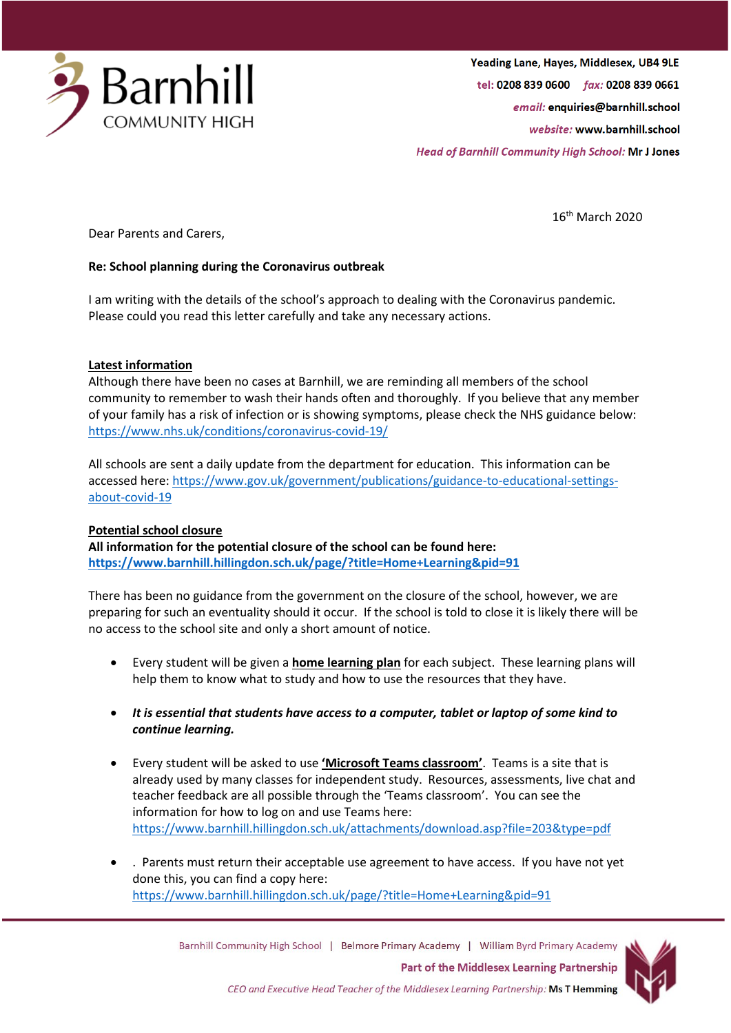

16th March 2020

Dear Parents and Carers,

# **Re: School planning during the Coronavirus outbreak**

I am writing with the details of the school's approach to dealing with the Coronavirus pandemic. Please could you read this letter carefully and take any necessary actions.

# **Latest information**

Although there have been no cases at Barnhill, we are reminding all members of the school community to remember to wash their hands often and thoroughly. If you believe that any member of your family has a risk of infection or is showing symptoms, please check the NHS guidance below: <https://www.nhs.uk/conditions/coronavirus-covid-19/>

All schools are sent a daily update from the department for education. This information can be accessed here: [https://www.gov.uk/government/publications/guidance-to-educational-settings](https://www.gov.uk/government/publications/guidance-to-educational-settings-about-covid-19)[about-covid-19](https://www.gov.uk/government/publications/guidance-to-educational-settings-about-covid-19)

### **Potential school closure**

**All information for the potential closure of the school can be found here: <https://www.barnhill.hillingdon.sch.uk/page/?title=Home+Learning&pid=91>**

There has been no guidance from the government on the closure of the school, however, we are preparing for such an eventuality should it occur. If the school is told to close it is likely there will be no access to the school site and only a short amount of notice.

- Every student will be given a **home learning plan** for each subject. These learning plans will help them to know what to study and how to use the resources that they have.
- *It is essential that students have access to a computer, tablet or laptop of some kind to continue learning.*
- Every student will be asked to use **'Microsoft Teams classroom'**. Teams is a site that is already used by many classes for independent study. Resources, assessments, live chat and teacher feedback are all possible through the 'Teams classroom'. You can see the information for how to log on and use Teams here: <https://www.barnhill.hillingdon.sch.uk/attachments/download.asp?file=203&type=pdf>
- . Parents must return their acceptable use agreement to have access. If you have not yet done this, you can find a copy here: <https://www.barnhill.hillingdon.sch.uk/page/?title=Home+Learning&pid=91>

Barnhill Community High School | Belmore Primary Academy | William Byrd Primary Academy **Part of the Middlesex Learning Partnership**